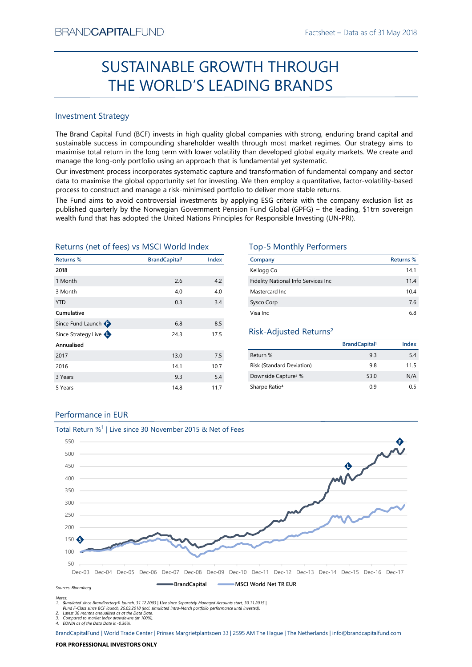# Factsheet – Data as of 31 May 2018<br> **SUGH** SUSTAINABLE GROWTH THROUGH THE WORLD'S LEADING BRANDS

# Investment Strategy

BRAND**CAPITAL**FUND<br>
Factsheet – Data as of 31 May 2018<br> **SUSTAINABLE GROWTH THROUGH**<br> **THE WORLD'S LEADING BRANDS**<br>
Investment Strategy<br>
Investment Strategy<br>
The Brand Capital Fund (BCF) invests in high quality global comp  $\begin{array}{l} \text{Backheet-Data as of 31 May 2018}\\ \text{SUSTAINABLE GROWTH THROUGH}\\ \text{THE WORLD'S LEADINGS} \end{array}$ Factsheet – Data as of 31 May 2018<br>
SUSTAINABLE GROWTH THROUGH<br>
THE WORLD'S LEADING BRANDS<br>
Investment strategy<br>
Inte Brand Capital Fund (BCF) invests in high quality global companies with strong, enduring brand capital an EXANDCAPITALFUND<br>
Factsheet – Data as of 31 May 2018<br>
SUSTAINABLE GROWTH THROUGH<br>
THE WORLD'S LEADING BRANDS<br>
Investment Strategy<br>
The Brand Capital Fund (BCF) invests in high quality global companies with strong, enduring BRANDCAPITALFUND<br>
SUSTAINABLE GROWTH THROUGH<br>
THE WORLD'S LEADING BRANDS<br>
Investment Strategy<br>
The Brand Capital Fund (BCF) invests in high quality global companies with strong, enduring brand capital and<br>
sustainable succ BRANDCAPITALFUND<br>
SUSTAINABLE GROWTH THROUGH<br>
THE WORLD'S LEADING BRANDS<br>
Investment Strategy<br>
Investment Strategy<br>
Investment Strategy<br>
Investment Strategy<br>
Investment Strategy<br>
Investment Strategy<br>
Investment Strategy<br>
I BRANDCAPITALFUND<br>
SUSTAINABLE GROWTH THROUGH<br>
THE WORLD'S LEADING BRANDS<br>
Investment Strategy<br>
Intersection of the CORLONS CHANDIS<br>
Investment Strategy<br>
The Brand Capital Fund (BCF) invests in high quality global companies BFANDCAPITALFUND<br>
SUSTAINABLE GROWTH THROUGH<br>
THE WORLD'S LEADING BRANDS<br>
Investment strategy<br>
Investment strategy<br>
The Brand Capital Fund (CF) invests in high quality global companies with strong, enduring brand capital a **PEANDCAPITALFUND**<br> **SUSTAINABLE GROWTH THROUGH**<br> **THE WORLD'S LEADING BRANDS**<br>
Investment Strategy<br>
Interstand Capital Fund (BCF) invests in high quality global companies with strong, enduring brand capital and<br>
sustinabl **EXAMDCAPITALFUND**<br> **SUSTAINABLE GROWTH THROUGH**<br> **THE WORLD'S LEADING BRANDS**<br>
Investment Strategy<br>
The Brand Capital Fund (CCF) invests in high quality global companies with strong, enduring brand capital and<br>
sustainabl  $\begin{tabular}{|c|c|c|c|c|} \hline \multicolumn{1}{|c|}{\textbf{SICTAINABLE GROWTH THROUGH}}\\ \hline \multicolumn{1}{|c|}{\textbf{H}} & \multicolumn{1}{|c|}{\textbf{H}} & \multicolumn{1}{|c|}{\textbf{H}} & \multicolumn{1}{|c|}{\textbf{H}} & \multicolumn{1}{|c|}{\textbf{H}} & \multicolumn{1}{|c|}{\textbf{H}} & \multicolumn{1}{|c|}{\textbf{H}} & \multicolumn{1}{|c|}{\textbf{H}} & \multicolumn{1}{|c|}{\textbf{H}} & \multicolumn{$ Returns (net of fees) vs MSCI World Index Top-5 Monthly Performers

| <b>Investment Strategy</b>                             |                                  |       |                                                                                                                                                                                                                                                                                                                                                                                                                                      |                                 |           |
|--------------------------------------------------------|----------------------------------|-------|--------------------------------------------------------------------------------------------------------------------------------------------------------------------------------------------------------------------------------------------------------------------------------------------------------------------------------------------------------------------------------------------------------------------------------------|---------------------------------|-----------|
|                                                        |                                  |       |                                                                                                                                                                                                                                                                                                                                                                                                                                      |                                 |           |
|                                                        |                                  |       | The Brand Capital Fund (BCF) invests in high quality global companies with strong, enduring brand capital and<br>sustainable success in compounding shareholder wealth through most market regimes. Our strategy aims to<br>maximise total return in the long term with lower volatility than developed global equity markets. We create and<br>manage the long-only portfolio using an approach that is fundamental yet systematic. |                                 |           |
|                                                        |                                  |       | Our investment process incorporates systematic capture and transformation of fundamental company and sector<br>data to maximise the global opportunity set for investing. We then employ a quantitative, factor-volatility-based<br>process to construct and manage a risk-minimised portfolio to deliver more stable returns.                                                                                                       |                                 |           |
|                                                        |                                  |       | The Fund aims to avoid controversial investments by applying ESG criteria with the company exclusion list as<br>published quarterly by the Norwegian Government Pension Fund Global (GPFG) - the leading, \$1trn sovereign<br>wealth fund that has adopted the United Nations Principles for Responsible Investing (UN-PRI).                                                                                                         |                                 |           |
| Returns (net of fees) vs MSCI World Index<br>Returns % | <b>BrandCapital</b> <sup>1</sup> | Index | <b>Top-5 Monthly Performers</b><br>Company                                                                                                                                                                                                                                                                                                                                                                                           |                                 | Returns % |
| 2018                                                   |                                  |       | Kellogg Co                                                                                                                                                                                                                                                                                                                                                                                                                           |                                 | 14.1      |
| 1 Month                                                | 2.6                              | 4.2   | Fidelity National Info Services Inc                                                                                                                                                                                                                                                                                                                                                                                                  |                                 | 11.4      |
|                                                        | 4.0                              | 4.0   | Mastercard Inc                                                                                                                                                                                                                                                                                                                                                                                                                       |                                 |           |
|                                                        |                                  |       |                                                                                                                                                                                                                                                                                                                                                                                                                                      |                                 | 10.4      |
|                                                        | 0.3                              | 3.4   | Sysco Corp                                                                                                                                                                                                                                                                                                                                                                                                                           |                                 | 7.6       |
| 3 Month                                                |                                  |       | Visa Inc                                                                                                                                                                                                                                                                                                                                                                                                                             |                                 | 6.8       |
| <b>YTD</b><br>Cumulative                               | 6.8                              | 8.5   |                                                                                                                                                                                                                                                                                                                                                                                                                                      |                                 |           |
|                                                        | 24.3                             | 17.5  | Risk-Adjusted Returns <sup>2</sup>                                                                                                                                                                                                                                                                                                                                                                                                   |                                 |           |
|                                                        |                                  |       |                                                                                                                                                                                                                                                                                                                                                                                                                                      | <b>BrandCapital<sup>1</sup></b> | Index     |
|                                                        | 13.0                             | 7.5   | Return %                                                                                                                                                                                                                                                                                                                                                                                                                             | 9.3                             | 5.4       |
|                                                        | 14.1                             | 10.7  | <b>Risk (Standard Deviation)</b>                                                                                                                                                                                                                                                                                                                                                                                                     | 9.8                             | 11.5      |
|                                                        | 9.3                              | 5.4   | Downside Capture <sup>3</sup> %                                                                                                                                                                                                                                                                                                                                                                                                      | 53.0                            | N/A       |
| Annualised<br>2017<br>2016<br>3 Years<br>5 Years       | 14.8                             | 11.7  | Sharpe Ratio <sup>4</sup>                                                                                                                                                                                                                                                                                                                                                                                                            | 0.9                             | 0.5       |
| Since Fund Launch<br>Since Strategy Live               |                                  |       |                                                                                                                                                                                                                                                                                                                                                                                                                                      |                                 |           |
| Performance in EUR                                     |                                  |       |                                                                                                                                                                                                                                                                                                                                                                                                                                      |                                 |           |

| TH THROUGH                                                                                                 |                                  |                  |
|------------------------------------------------------------------------------------------------------------|----------------------------------|------------------|
|                                                                                                            |                                  |                  |
| <b>ING BRANDS</b>                                                                                          |                                  |                  |
|                                                                                                            |                                  |                  |
|                                                                                                            |                                  |                  |
|                                                                                                            |                                  |                  |
| companies with strong, enduring brand capital and                                                          |                                  |                  |
| prough most market regimes. Our strategy aims to                                                           |                                  |                  |
| an developed global equity markets. We create and                                                          |                                  |                  |
| ndamental yet systematic.                                                                                  |                                  |                  |
| transformation of fundamental company and sector                                                           |                                  |                  |
| e then employ a quantitative, factor-volatility-based                                                      |                                  |                  |
| to deliver more stable returns.                                                                            |                                  |                  |
| ving ESG criteria with the company exclusion list as<br>Fund Global (GPFG) - the leading, \$1trn sovereign |                                  |                  |
| or Responsible Investing (UN-PRI).                                                                         |                                  |                  |
|                                                                                                            |                                  |                  |
|                                                                                                            |                                  |                  |
| <b>Top-5 Monthly Performers</b>                                                                            |                                  |                  |
| Company                                                                                                    |                                  | <b>Returns %</b> |
| Kellogg Co                                                                                                 |                                  | 14.1             |
| Fidelity National Info Services Inc                                                                        |                                  | 11.4             |
| Mastercard Inc                                                                                             |                                  | 10.4             |
| Sysco Corp                                                                                                 |                                  | 7.6              |
| Visa Inc                                                                                                   |                                  | 6.8              |
|                                                                                                            |                                  |                  |
| Risk-Adjusted Returns <sup>2</sup>                                                                         |                                  |                  |
|                                                                                                            | <b>BrandCapital</b> <sup>1</sup> | Index            |
| Return %                                                                                                   | 9.3                              | 5.4              |
| Risk (Standard Deviation)                                                                                  | 9.8                              | 11.5             |
| Downside Capture <sup>3</sup> %                                                                            | 53.0                             | N/A              |
| Sharpe Ratio <sup>4</sup>                                                                                  | 0.9                              | 0.5              |
|                                                                                                            |                                  |                  |
|                                                                                                            |                                  |                  |
|                                                                                                            |                                  |                  |
|                                                                                                            |                                  |                  |
|                                                                                                            |                                  |                  |

# Risk-Adjusted Returns2

|                                  | <b>BrandCapital</b> | Index |
|----------------------------------|---------------------|-------|
| Return %                         | 9.3                 | 5.4   |
| <b>Risk (Standard Deviation)</b> | 9.8                 | 11.5  |
| Downside Capture <sup>3</sup> %  | 53.0                | N/A   |
| Sharpe Ratio <sup>4</sup>        | 0.9                 | 0.5   |

# Performance in EUR



Fund F-Class since BCF launch, 26.03.2018 (incl. simulated intra-March portfolio performance until invested).

2. Latest 36 months annualised as at the Data Date. 3. Compared to market index drawdowns (at 100%). 4. EONIA as of the Data Date is -0.36%.